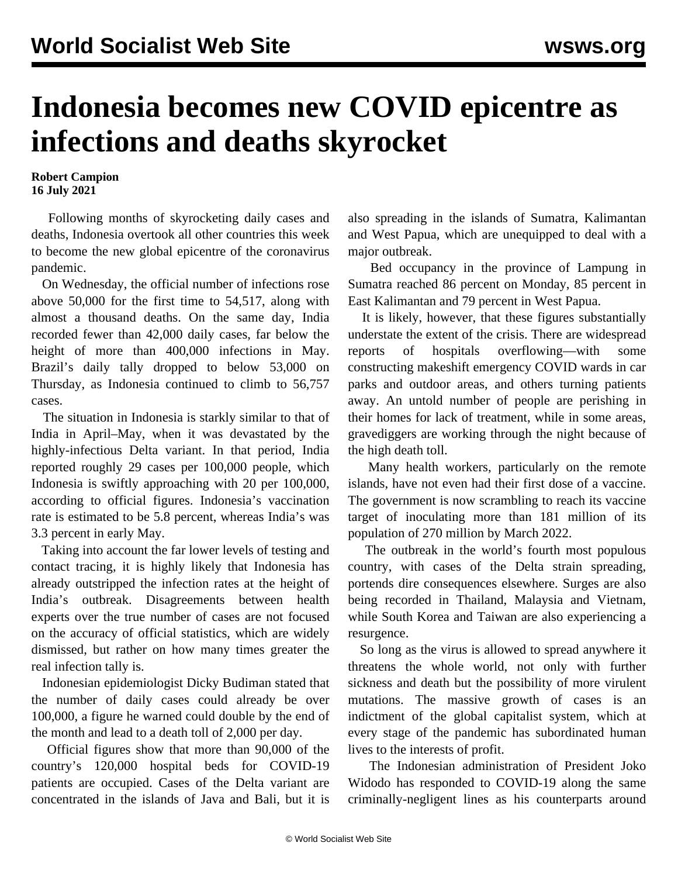## **Indonesia becomes new COVID epicentre as infections and deaths skyrocket**

**Robert Campion 16 July 2021**

 Following months of skyrocketing daily cases and deaths, Indonesia overtook all other countries this week to become the new global epicentre of the coronavirus pandemic.

 On Wednesday, the official number of infections rose above 50,000 for the first time to 54,517, along with almost a thousand deaths. On the same day, India recorded fewer than 42,000 daily cases, far below the height of more than 400,000 infections in May. Brazil's daily tally dropped to below 53,000 on Thursday, as Indonesia continued to climb to 56,757 cases.

 The situation in Indonesia is starkly similar to that of India in April–May, when it was devastated by the highly-infectious Delta variant. In that period, India reported roughly 29 cases per 100,000 people, which Indonesia is swiftly approaching with 20 per 100,000, according to official figures. Indonesia's vaccination rate is estimated to be 5.8 percent, whereas India's was 3.3 percent in early May.

 Taking into account the far lower levels of testing and contact tracing, it is highly likely that Indonesia has already outstripped the infection rates at the height of India's outbreak. Disagreements between health experts over the true number of cases are not focused on the accuracy of official statistics, which are widely dismissed, but rather on how many times greater the real infection tally is.

 Indonesian epidemiologist Dicky Budiman stated that the number of daily cases could already be over 100,000, a figure he warned could double by the end of the month and lead to a death toll of 2,000 per day.

 Official figures show that more than 90,000 of the country's 120,000 hospital beds for COVID-19 patients are occupied. Cases of the Delta variant are concentrated in the islands of Java and Bali, but it is also spreading in the islands of Sumatra, Kalimantan and West Papua, which are unequipped to deal with a major outbreak.

 Bed occupancy in the province of Lampung in Sumatra reached 86 percent on Monday, 85 percent in East Kalimantan and 79 percent in West Papua.

 It is likely, however, that these figures substantially understate the extent of the crisis. There are widespread reports of hospitals overflowing—with some constructing makeshift emergency COVID wards in car parks and outdoor areas, and others turning patients away. An untold number of people are perishing in their homes for lack of treatment, while in some areas, gravediggers are working through the night because of the high death toll.

 Many health workers, particularly on the remote islands, have not even had their first dose of a vaccine. The government is now scrambling to reach its vaccine target of inoculating more than 181 million of its population of 270 million by March 2022.

 The outbreak in the world's fourth most populous country, with cases of the Delta strain spreading, portends dire consequences elsewhere. Surges are also being recorded in Thailand, Malaysia and Vietnam, while South Korea and Taiwan are also experiencing a resurgence.

 So long as the virus is allowed to spread anywhere it threatens the whole world, not only with further sickness and death but the possibility of more virulent mutations. The massive growth of cases is an indictment of the global capitalist system, which at every stage of the pandemic has subordinated human lives to the interests of profit.

 The Indonesian administration of President Joko Widodo has responded to COVID-19 along the same criminally-negligent lines as his counterparts around